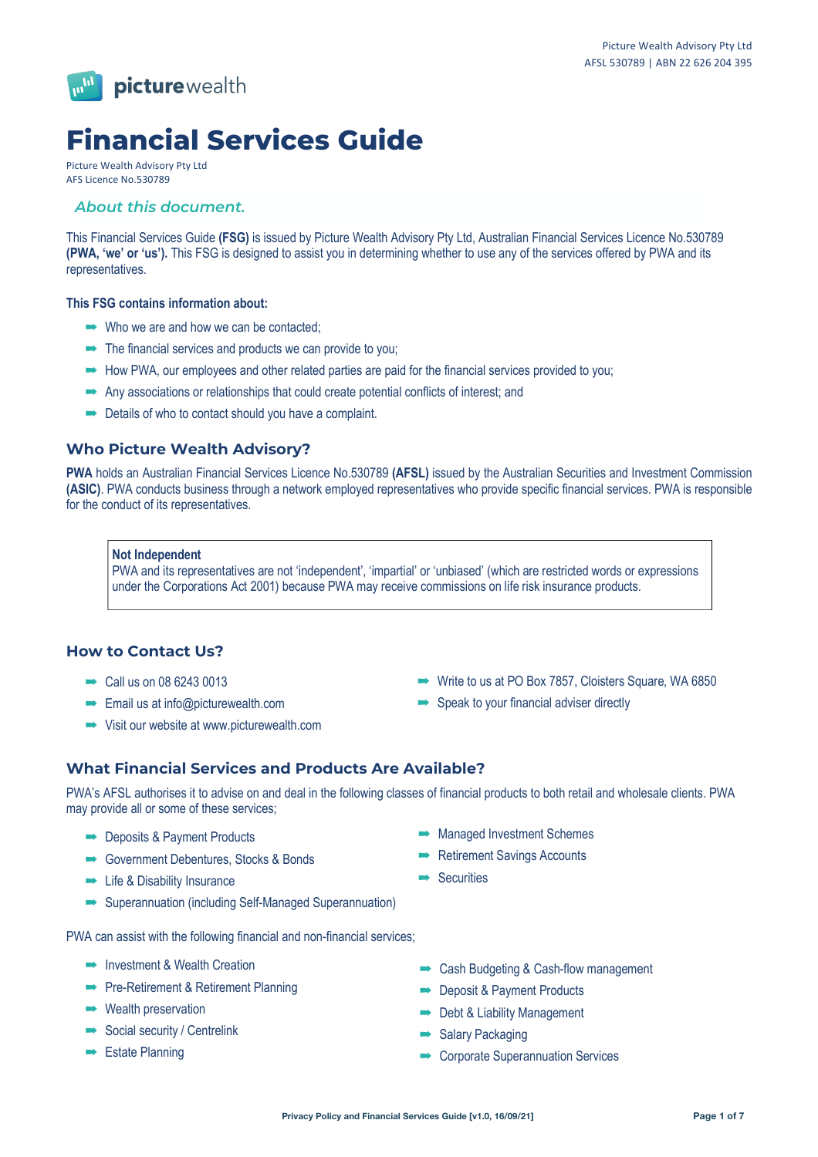

# **Financial Services Guide**

Picture Wealth Advisory Pty Ltd AFS Licence No.530789

# *About this document.*

This Financial Services Guide **(FSG)** is issued by Picture Wealth Advisory Pty Ltd, Australian Financial Services Licence No.530789 **(PWA, 'we' or 'us').** This FSG is designed to assist you in determining whether to use any of the services offered by PWA and its representatives.

## **This FSG contains information about:**

- $\rightarrow$  Who we are and how we can be contacted:
- $\rightarrow$  The financial services and products we can provide to you;
- $\rightarrow$  How PWA, our employees and other related parties are paid for the financial services provided to you;
- $\rightarrow$  Any associations or relationships that could create potential conflicts of interest; and
- $\rightarrow$  Details of who to contact should you have a complaint.

# **Who Picture Wealth Advisory?**

**PWA** holds an Australian Financial Services Licence No.530789 **(AFSL)** issued by the Australian Securities and Investment Commission **(ASIC)**. PWA conducts business through a network employed representatives who provide specific financial services. PWA is responsible for the conduct of its representatives.

#### **Not Independent**

PWA and its representatives are not 'independent', 'impartial' or 'unbiased' (which are restricted words or expressions under the Corporations Act 2001) because PWA may receive commissions on life risk insurance products.

# **How to Contact Us?**

- $\rightarrow$  Call us on 08 6243 0013
- $\rightarrow$  Email us at info@picturewealth.com
- $\rightarrow$  Visit our website at www.picturewealth.com
- $\rightarrow$  Write to us at PO Box 7857, Cloisters Square, WA 6850
- $\rightarrow$  Speak to your financial adviser directly

# **What Financial Services and Products Are Available?**

PWA's AFSL authorises it to advise on and deal in the following classes of financial products to both retail and wholesale clients. PWA may provide all or some of these services;

- **Deposits & Payment Products**
- ! Government Debentures, Stocks & Bonds
- $\rightarrow$  Life & Disability Insurance
- $\rightarrow$  Superannuation (including Self-Managed Superannuation)

PWA can assist with the following financial and non-financial services;

- $\rightarrow$  Investment & Wealth Creation
- **Pre-Retirement & Retirement Planning**
- $\rightarrow$  Wealth preservation
- $\rightarrow$  Social security / Centrelink
- $\rightarrow$  Estate Planning
- $\rightarrow$  Managed Investment Schemes
- $\rightarrow$  Retirement Savings Accounts
- $\rightarrow$  Securities
- **Cash Budgeting & Cash-flow management**
- **Deposit & Payment Products**
- $\rightarrow$  Debt & Liability Management
- $\rightarrow$  Salary Packaging
- $\rightarrow$  Corporate Superannuation Services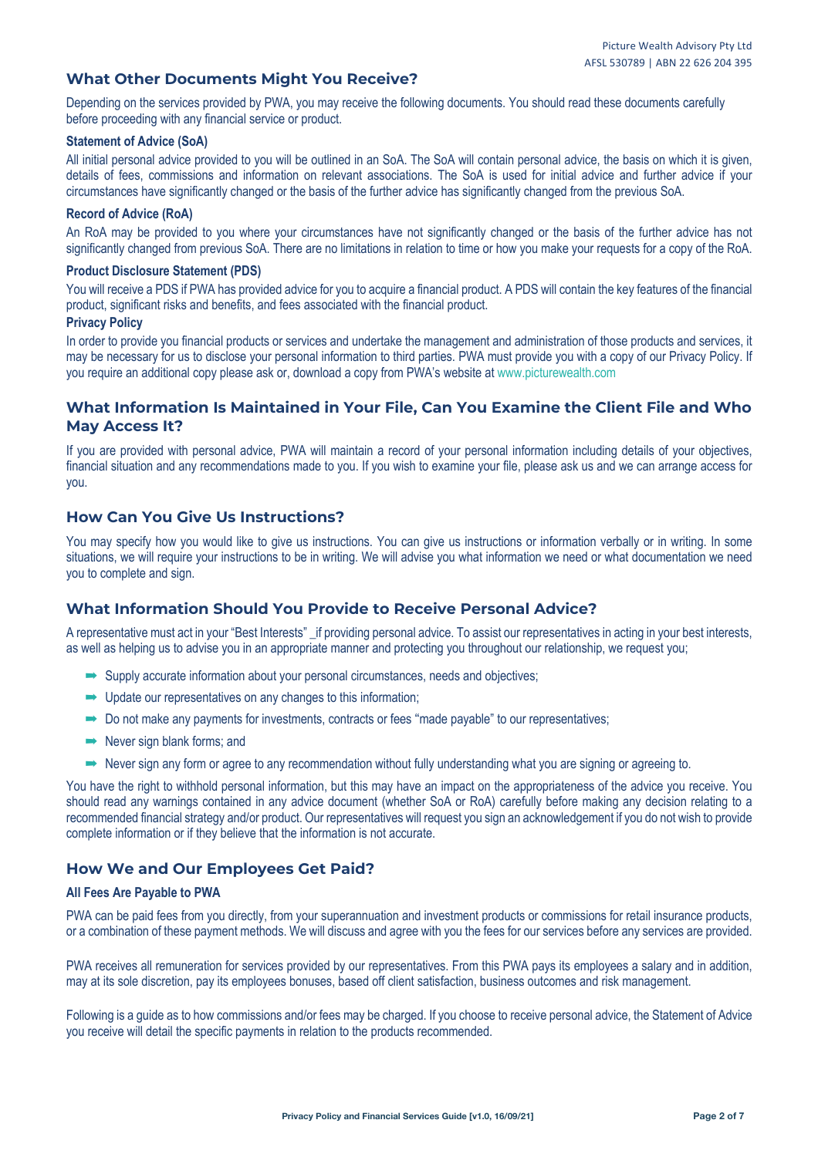# **What Other Documents Might You Receive?**

Depending on the services provided by PWA, you may receive the following documents. You should read these documents carefully before proceeding with any financial service or product.

## **Statement of Advice (SoA)**

All initial personal advice provided to you will be outlined in an SoA. The SoA will contain personal advice, the basis on which it is given, details of fees, commissions and information on relevant associations. The SoA is used for initial advice and further advice if your circumstances have significantly changed or the basis of the further advice has significantly changed from the previous SoA.

#### **Record of Advice (RoA)**

An RoA may be provided to you where your circumstances have not significantly changed or the basis of the further advice has not significantly changed from previous SoA. There are no limitations in relation to time or how you make your requests for a copy of the RoA.

#### **Product Disclosure Statement (PDS)**

You will receive a PDS if PWA has provided advice for you to acquire a financial product. A PDS will contain the key features of the financial product, significant risks and benefits, and fees associated with the financial product.

#### **Privacy Policy**

In order to provide you financial products or services and undertake the management and administration of those products and services, it may be necessary for us to disclose your personal information to third parties. PWA must provide you with a copy of our Privacy Policy. If you require an additional copy please ask or, download a copy from PWA's website at www.picturewealth.com

# **What Information Is Maintained in Your File, Can You Examine the Client File and Who May Access It?**

If you are provided with personal advice, PWA will maintain a record of your personal information including details of your objectives, financial situation and any recommendations made to you. If you wish to examine your file, please ask us and we can arrange access for you.

# **How Can You Give Us Instructions?**

You may specify how you would like to give us instructions. You can give us instructions or information verbally or in writing. In some situations, we will require your instructions to be in writing. We will advise you what information we need or what documentation we need you to complete and sign.

# **What Information Should You Provide to Receive Personal Advice?**

A representative must act in your "Best Interests" \_if providing personal advice. To assist our representatives in acting in your best interests, as well as helping us to advise you in an appropriate manner and protecting you throughout our relationship, we request you;

- $\rightarrow$  Supply accurate information about your personal circumstances, needs and objectives;
- $\rightarrow$  Update our representatives on any changes to this information;
- $\rightarrow$  Do not make any payments for investments, contracts or fees "made payable" to our representatives;
- $\rightarrow$  Never sign blank forms; and
- $\rightarrow$  Never sign any form or agree to any recommendation without fully understanding what you are signing or agreeing to.

You have the right to withhold personal information, but this may have an impact on the appropriateness of the advice you receive. You should read any warnings contained in any advice document (whether SoA or RoA) carefully before making any decision relating to a recommended financial strategy and/or product. Our representatives will request you sign an acknowledgement if you do not wish to provide complete information or if they believe that the information is not accurate.

# **How We and Our Employees Get Paid?**

## **All Fees Are Payable to PWA**

PWA can be paid fees from you directly, from your superannuation and investment products or commissions for retail insurance products, or a combination of these payment methods. We will discuss and agree with you the fees for our services before any services are provided.

PWA receives all remuneration for services provided by our representatives. From this PWA pays its employees a salary and in addition, may at its sole discretion, pay its employees bonuses, based off client satisfaction, business outcomes and risk management.

Following is a guide as to how commissions and/or fees may be charged. If you choose to receive personal advice, the Statement of Advice you receive will detail the specific payments in relation to the products recommended.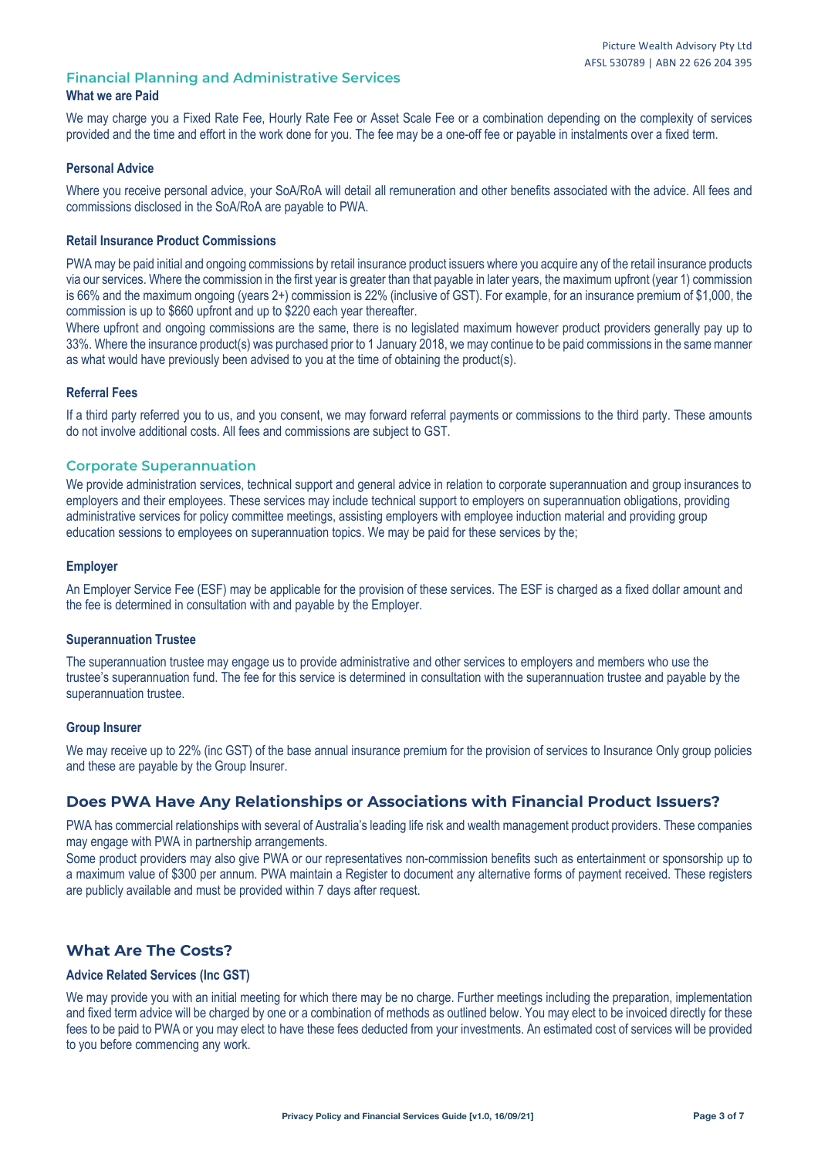# **Financial Planning and Administrative Services What we are Paid**

We may charge you a Fixed Rate Fee, Hourly Rate Fee or Asset Scale Fee or a combination depending on the complexity of services provided and the time and effort in the work done for you. The fee may be a one-off fee or payable in instalments over a fixed term.

## **Personal Advice**

Where you receive personal advice, your SoA/RoA will detail all remuneration and other benefits associated with the advice. All fees and commissions disclosed in the SoA/RoA are payable to PWA.

## **Retail Insurance Product Commissions**

PWA may be paid initial and ongoing commissions by retail insurance product issuers where you acquire any of the retail insurance products via our services. Where the commission in the first year is greater than that payable in later years, the maximum upfront (year 1) commission is 66% and the maximum ongoing (years 2+) commission is 22% (inclusive of GST). For example, for an insurance premium of \$1,000, the commission is up to \$660 upfront and up to \$220 each year thereafter.

Where upfront and ongoing commissions are the same, there is no legislated maximum however product providers generally pay up to 33%. Where the insurance product(s) was purchased prior to 1 January 2018, we may continue to be paid commissions in the same manner as what would have previously been advised to you at the time of obtaining the product(s).

## **Referral Fees**

If a third party referred you to us, and you consent, we may forward referral payments or commissions to the third party. These amounts do not involve additional costs. All fees and commissions are subject to GST.

## **Corporate Superannuation**

We provide administration services, technical support and general advice in relation to corporate superannuation and group insurances to employers and their employees. These services may include technical support to employers on superannuation obligations, providing administrative services for policy committee meetings, assisting employers with employee induction material and providing group education sessions to employees on superannuation topics. We may be paid for these services by the;

## **Employer**

An Employer Service Fee (ESF) may be applicable for the provision of these services. The ESF is charged as a fixed dollar amount and the fee is determined in consultation with and payable by the Employer.

## **Superannuation Trustee**

The superannuation trustee may engage us to provide administrative and other services to employers and members who use the trustee's superannuation fund. The fee for this service is determined in consultation with the superannuation trustee and payable by the superannuation trustee.

## **Group Insurer**

We may receive up to 22% (inc GST) of the base annual insurance premium for the provision of services to Insurance Only group policies and these are payable by the Group Insurer.

# **Does PWA Have Any Relationships or Associations with Financial Product Issuers?**

PWA has commercial relationships with several of Australia's leading life risk and wealth management product providers. These companies may engage with PWA in partnership arrangements.

Some product providers may also give PWA or our representatives non-commission benefits such as entertainment or sponsorship up to a maximum value of \$300 per annum. PWA maintain a Register to document any alternative forms of payment received. These registers are publicly available and must be provided within 7 days after request.

# **What Are The Costs?**

## **Advice Related Services (Inc GST)**

We may provide you with an initial meeting for which there may be no charge. Further meetings including the preparation, implementation and fixed term advice will be charged by one or a combination of methods as outlined below. You may elect to be invoiced directly for these fees to be paid to PWA or you may elect to have these fees deducted from your investments. An estimated cost of services will be provided to you before commencing any work.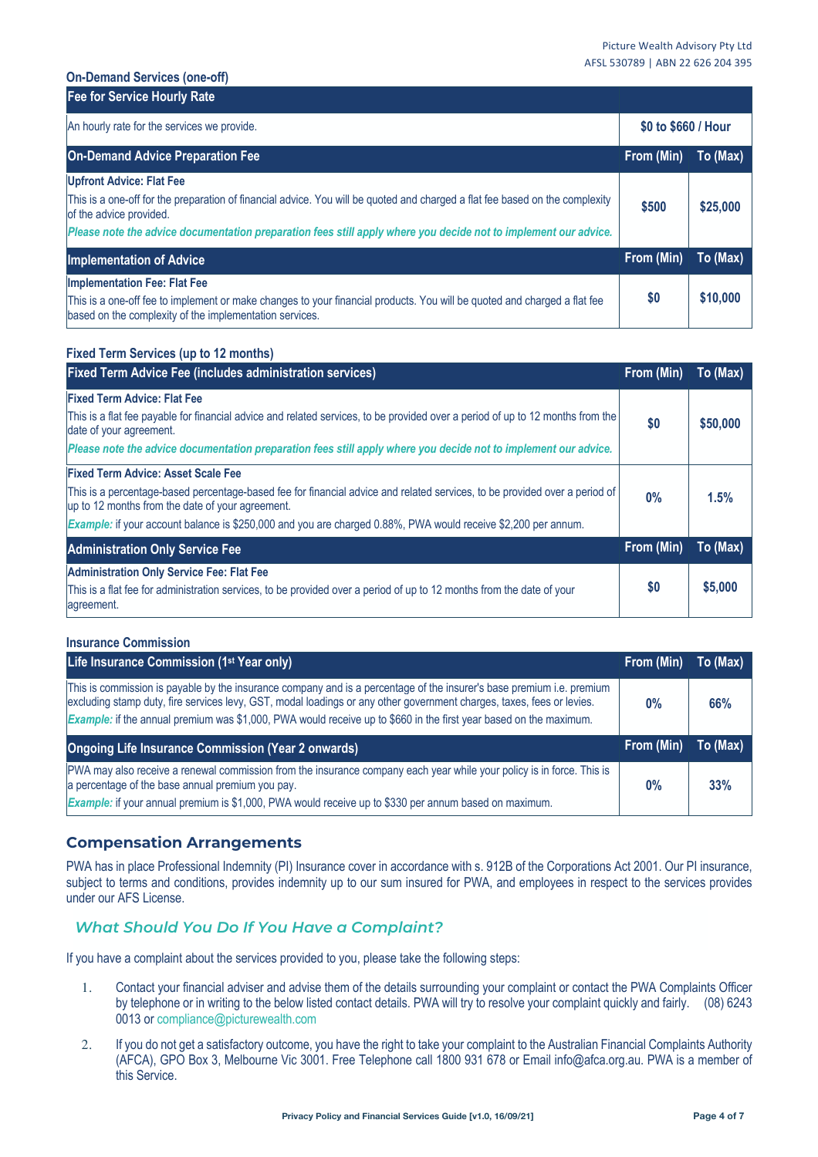#### **On-Demand Services (one-off)**

| <b>Fee for Service Hourly Rate</b>                                                                                                                                                                                         |                     |          |
|----------------------------------------------------------------------------------------------------------------------------------------------------------------------------------------------------------------------------|---------------------|----------|
| An hourly rate for the services we provide.                                                                                                                                                                                | \$0 to \$660 / Hour |          |
| <b>On-Demand Advice Preparation Fee</b>                                                                                                                                                                                    | From (Min)          | To (Max) |
| <b>Upfront Advice: Flat Fee</b><br>This is a one-off for the preparation of financial advice. You will be quoted and charged a flat fee based on the complexity                                                            | \$500               | \$25,000 |
| of the advice provided.<br>Please note the advice documentation preparation fees still apply where you decide not to implement our advice.                                                                                 |                     |          |
| <b>Implementation of Advice</b>                                                                                                                                                                                            | From (Min)          | To (Max) |
| <b>Implementation Fee: Flat Fee</b><br>This is a one-off fee to implement or make changes to your financial products. You will be quoted and charged a flat fee<br>based on the complexity of the implementation services. | \$0                 | \$10,000 |

## **Fixed Term Services (up to 12 months)**

| <b>Fixed Term Advice Fee (includes administration services)</b>                                                                                                                | From (Min) | To (Max) |
|--------------------------------------------------------------------------------------------------------------------------------------------------------------------------------|------------|----------|
| <b>Fixed Term Advice: Flat Fee</b>                                                                                                                                             |            |          |
| This is a flat fee payable for financial advice and related services, to be provided over a period of up to 12 months from the<br>date of your agreement.                      | \$0        | \$50,000 |
| Please note the advice documentation preparation fees still apply where you decide not to implement our advice.                                                                |            |          |
| <b>Fixed Term Advice: Asset Scale Fee</b>                                                                                                                                      |            |          |
| This is a percentage-based percentage-based fee for financial advice and related services, to be provided over a period of<br>up to 12 months from the date of your agreement. | $0\%$      | 1.5%     |
| Example: if your account balance is \$250,000 and you are charged 0.88%, PWA would receive \$2,200 per annum.                                                                  |            |          |
| <b>Administration Only Service Fee</b>                                                                                                                                         | From (Min) | To (Max) |
| <b>Administration Only Service Fee: Flat Fee</b>                                                                                                                               |            |          |
| This is a flat fee for administration services, to be provided over a period of up to 12 months from the date of your<br>agreement.                                            | \$0        | \$5,000  |

## **Insurance Commission**

| Life Insurance Commission (1 <sup>st</sup> Year only)                                                                                                                                                                                                                                                                                                               | From (Min) | To (Max) |
|---------------------------------------------------------------------------------------------------------------------------------------------------------------------------------------------------------------------------------------------------------------------------------------------------------------------------------------------------------------------|------------|----------|
| This is commission is payable by the insurance company and is a percentage of the insurer's base premium i.e. premium<br>excluding stamp duty, fire services levy, GST, modal loadings or any other government charges, taxes, fees or levies.<br>Example: if the annual premium was \$1,000, PWA would receive up to \$660 in the first year based on the maximum. | $0\%$      | 66%      |
| <b>Ongoing Life Insurance Commission (Year 2 onwards)</b>                                                                                                                                                                                                                                                                                                           | From (Min) | To (Max) |
| PWA may also receive a renewal commission from the insurance company each year while your policy is in force. This is<br>a percentage of the base annual premium you pay.                                                                                                                                                                                           | $0\%$      | 33%      |

# **Compensation Arrangements**

PWA has in place Professional Indemnity (PI) Insurance cover in accordance with s. 912B of the Corporations Act 2001. Our PI insurance, subject to terms and conditions, provides indemnity up to our sum insured for PWA, and employees in respect to the services provides under our AFS License.

# *What Should You Do If You Have a Complaint?*

If you have a complaint about the services provided to you, please take the following steps:

- 1. Contact your financial adviser and advise them of the details surrounding your complaint or contact the PWA Complaints Officer by telephone or in writing to the below listed contact details. PWA will try to resolve your complaint quickly and fairly. (08) 6243 0013 or compliance@picturewealth.com
- 2. If you do not get a satisfactory outcome, you have the right to take your complaint to the Australian Financial Complaints Authority (AFCA), GPO Box 3, Melbourne Vic 3001. Free Telephone call 1800 931 678 or Email info@afca.org.au. PWA is a member of this Service.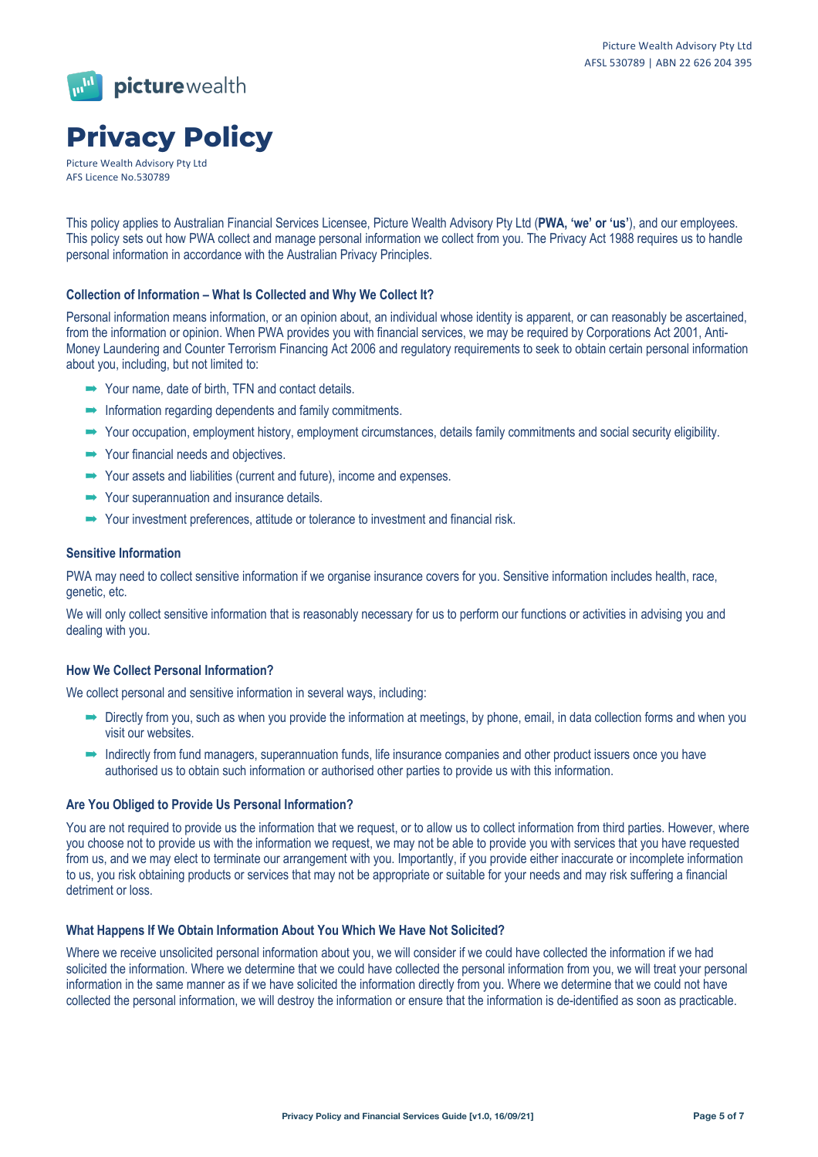

# **Privacy Policy**

Picture Wealth Advisory Pty Ltd AFS Licence No.530789

This policy applies to Australian Financial Services Licensee, Picture Wealth Advisory Pty Ltd (**PWA, 'we' or 'us'**), and our employees. This policy sets out how PWA collect and manage personal information we collect from you. The Privacy Act 1988 requires us to handle personal information in accordance with the Australian Privacy Principles.

## **Collection of Information – What Is Collected and Why We Collect It?**

Personal information means information, or an opinion about, an individual whose identity is apparent, or can reasonably be ascertained, from the information or opinion. When PWA provides you with financial services, we may be required by Corporations Act 2001, Anti-Money Laundering and Counter Terrorism Financing Act 2006 and regulatory requirements to seek to obtain certain personal information about you, including, but not limited to:

- $\rightarrow$  Your name, date of birth, TFN and contact details.
- $\rightarrow$  Information regarding dependents and family commitments.
- $\rightarrow$  Your occupation, employment history, employment circumstances, details family commitments and social security eligibility.
- $\rightarrow$  Your financial needs and objectives.
- $\rightarrow$  Your assets and liabilities (current and future), income and expenses.
- $\rightarrow$  Your superannuation and insurance details.
- $\rightarrow$  Your investment preferences, attitude or tolerance to investment and financial risk.

#### **Sensitive Information**

PWA may need to collect sensitive information if we organise insurance covers for you. Sensitive information includes health, race, genetic, etc.

We will only collect sensitive information that is reasonably necessary for us to perform our functions or activities in advising you and dealing with you.

## **How We Collect Personal Information?**

We collect personal and sensitive information in several ways, including:

- $\rightarrow$  Directly from you, such as when you provide the information at meetings, by phone, email, in data collection forms and when you visit our websites.
- $\rightarrow$  Indirectly from fund managers, superannuation funds, life insurance companies and other product issuers once you have authorised us to obtain such information or authorised other parties to provide us with this information.

#### **Are You Obliged to Provide Us Personal Information?**

You are not required to provide us the information that we request, or to allow us to collect information from third parties. However, where you choose not to provide us with the information we request, we may not be able to provide you with services that you have requested from us, and we may elect to terminate our arrangement with you. Importantly, if you provide either inaccurate or incomplete information to us, you risk obtaining products or services that may not be appropriate or suitable for your needs and may risk suffering a financial detriment or loss.

#### **What Happens If We Obtain Information About You Which We Have Not Solicited?**

Where we receive unsolicited personal information about you, we will consider if we could have collected the information if we had solicited the information. Where we determine that we could have collected the personal information from you, we will treat your personal information in the same manner as if we have solicited the information directly from you. Where we determine that we could not have collected the personal information, we will destroy the information or ensure that the information is de-identified as soon as practicable.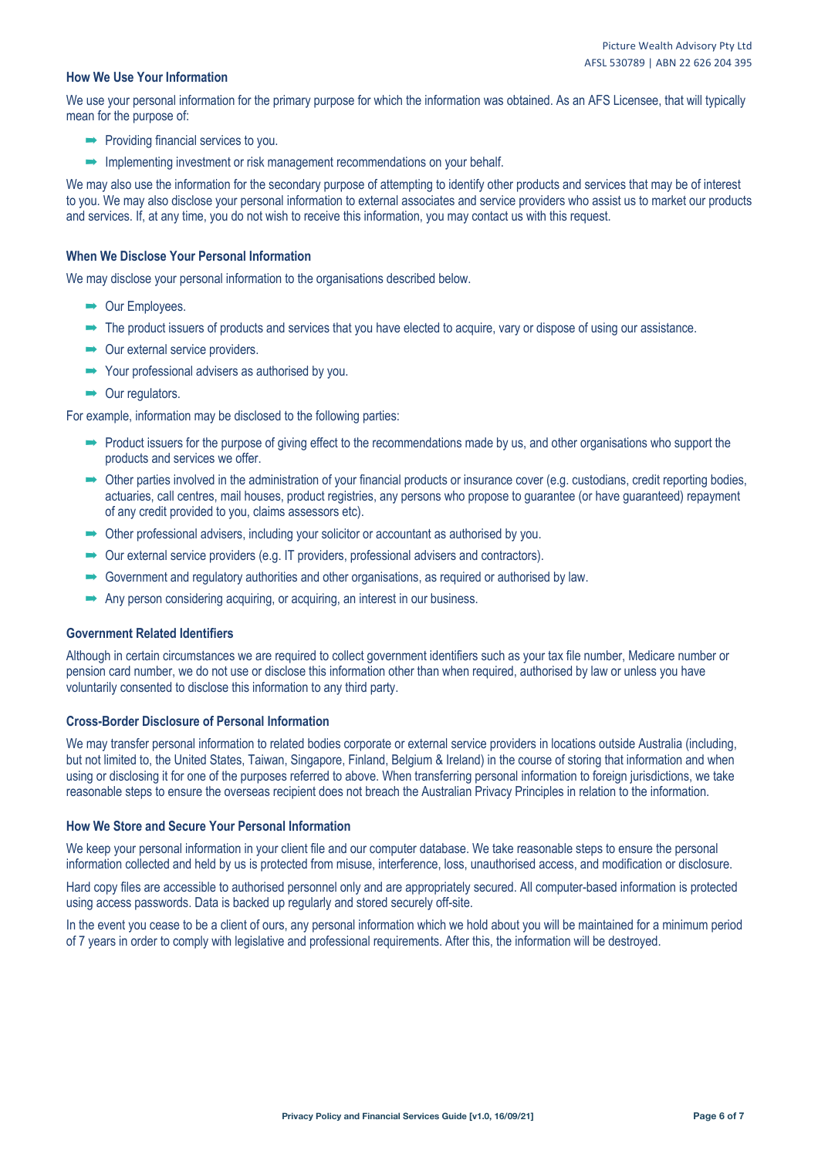#### **How We Use Your Information**

We use your personal information for the primary purpose for which the information was obtained. As an AFS Licensee, that will typically mean for the purpose of:

- $\rightarrow$  Providing financial services to you.
- $\rightarrow$  Implementing investment or risk management recommendations on your behalf.

We may also use the information for the secondary purpose of attempting to identify other products and services that may be of interest to you. We may also disclose your personal information to external associates and service providers who assist us to market our products and services. If, at any time, you do not wish to receive this information, you may contact us with this request.

#### **When We Disclose Your Personal Information**

We may disclose your personal information to the organisations described below.

- $\rightarrow$  Our Employees.
- $\rightarrow$  The product issuers of products and services that you have elected to acquire, vary or dispose of using our assistance.
- $\rightarrow$  Our external service providers.
- $\rightarrow$  Your professional advisers as authorised by you.
- $\rightarrow$  Our regulators.

For example, information may be disclosed to the following parties:

- $\rightarrow$  Product issuers for the purpose of giving effect to the recommendations made by us, and other organisations who support the products and services we offer.
- $\rightarrow$  Other parties involved in the administration of your financial products or insurance cover (e.g. custodians, credit reporting bodies, actuaries, call centres, mail houses, product registries, any persons who propose to guarantee (or have guaranteed) repayment of any credit provided to you, claims assessors etc).
- $\rightarrow$  Other professional advisers, including your solicitor or accountant as authorised by you.
- $\rightarrow$  Our external service providers (e.g. IT providers, professional advisers and contractors).
- $\rightarrow$  Government and regulatory authorities and other organisations, as required or authorised by law.
- $\rightarrow$  Any person considering acquiring, or acquiring, an interest in our business.

#### **Government Related Identifiers**

Although in certain circumstances we are required to collect government identifiers such as your tax file number, Medicare number or pension card number, we do not use or disclose this information other than when required, authorised by law or unless you have voluntarily consented to disclose this information to any third party.

#### **Cross-Border Disclosure of Personal Information**

We may transfer personal information to related bodies corporate or external service providers in locations outside Australia (including, but not limited to, the United States, Taiwan, Singapore, Finland, Belgium & Ireland) in the course of storing that information and when using or disclosing it for one of the purposes referred to above. When transferring personal information to foreign jurisdictions, we take reasonable steps to ensure the overseas recipient does not breach the Australian Privacy Principles in relation to the information.

#### **How We Store and Secure Your Personal Information**

We keep your personal information in your client file and our computer database. We take reasonable steps to ensure the personal information collected and held by us is protected from misuse, interference, loss, unauthorised access, and modification or disclosure.

Hard copy files are accessible to authorised personnel only and are appropriately secured. All computer-based information is protected using access passwords. Data is backed up regularly and stored securely off-site.

In the event you cease to be a client of ours, any personal information which we hold about you will be maintained for a minimum period of 7 years in order to comply with legislative and professional requirements. After this, the information will be destroyed.